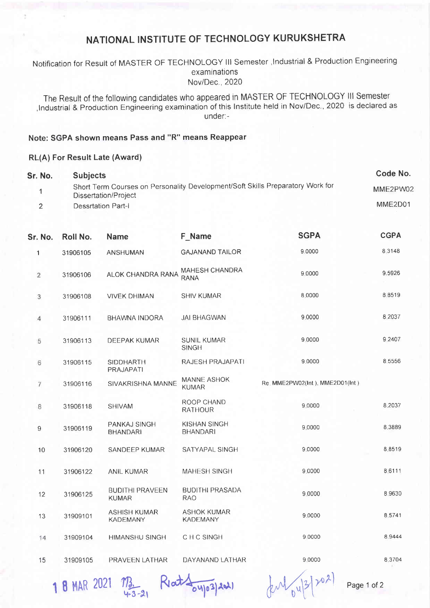# NATIONAL INSTITUTE OF TECHNOLOGY KURUKSHETRA

### Notification for Result of MASTER OF TECHNOLOGY III Semester , Industrial & Production Engineering examinations Nov/Dec. ,2020

The Result of the following candidates who appeared in MASTER OF TECHNOLOGY lll Semester ,lndustrial & Production Engineering examination of this lnstitute held in Nov/Dec.,2020 is declared as under:-

#### Note: SGPA shown means Pass and "R" means Reappear

#### RL(A) For Result Late (Award)

| Sr. No.        | <b>Subjects</b>           |                                                                                                        | Code No. |             |             |  |  |
|----------------|---------------------------|--------------------------------------------------------------------------------------------------------|----------|-------------|-------------|--|--|
|                |                           | Short Term Courses on Personality Development/Soft Skills Preparatory Work for<br>Dissertation/Project |          |             |             |  |  |
| $\mathfrak{p}$ | <b>Dessrtation Part-I</b> | MME2D01                                                                                                |          |             |             |  |  |
| Sr. No.        | Roll No.                  | <b>Name</b>                                                                                            | F Name   | <b>SGPA</b> | <b>CGPA</b> |  |  |

| 1              | 31906105 | <b>ANSHUMAN</b>                        | <b>GAJANAND TAILOR</b>                 | 9.0000                          | 8.3148    |
|----------------|----------|----------------------------------------|----------------------------------------|---------------------------------|-----------|
| $\overline{2}$ | 31906106 | ALOK CHANDRA RANA                      | <b>MAHESH CHANDRA</b><br><b>RANA</b>   | 9.0000                          | 9.5926    |
| 3              | 31906108 | <b>VIVEK DHIMAN</b>                    | <b>SHIV KUMAR</b>                      | 8.0000                          | 8.8519    |
| 4              | 31906111 | <b>BHAWNA INDORA</b>                   | <b>JAI BHAGWAN</b>                     | 9.0000                          | 8.2037    |
| 5              | 31906113 | <b>DEEPAK KUMAR</b>                    | <b>SUNIL KUMAR</b><br><b>SINGH</b>     | 9.0000                          | 9.2407    |
| 6              | 31906115 | <b>SIDDHARTH</b><br>PRAJAPATI          | RAJESH PRAJAPATI                       | 9.0000                          | 8.5556    |
| $\overline{7}$ | 31906116 | <b>SIVAKRISHNA MANNE</b>               | <b>MANNE ASHOK</b><br><b>KUMAR</b>     | Re. MME2PW02(Int), MME2D01(Int) |           |
| 8              | 31906118 | <b>SHIVAM</b>                          | ROOP CHAND<br><b>RATHOUR</b>           | 9.0000                          | 8 2037    |
| 9              | 31906119 | <b>PANKAJ SINGH</b><br><b>BHANDARI</b> | <b>KISHAN SINGH</b><br><b>BHANDARI</b> | 9.0000                          | 8.3889    |
| 10             | 31906120 | SANDEEP KUMAR                          | SATYAPAL SINGH                         | 9 0000                          | 8.8519    |
| 11             | 31906122 | <b>ANIL KUMAR</b>                      | <b>MAHESH SINGH</b>                    | 9.0000                          | 8 6 1 1 1 |
| 12             | 31906125 | <b>BUDITHI PRAVEEN</b><br><b>KUMAR</b> | <b>BUDITHI PRASADA</b><br><b>RAO</b>   | 9.0000                          | 8.9630    |
| 13             | 31909101 | <b>ASHISH KUMAR</b><br><b>KADEMANY</b> | <b>ASHOK KUMAR</b><br><b>KADEMANY</b>  | 9.0000                          | 8.5741    |
| 14             | 31909104 | <b>HIMANSHU SINGH</b>                  | C H C SINGH                            | 9.0000                          | 8.9444    |
| 15             | 31909105 | PRAVEEN LATHAR                         | DAYANAND LATHAR                        | 9.0000                          | 8.3704    |

 $18$ MAR 2021  $m_3$  Reat  $\frac{1}{24}$  Riat  $\frac{1}{24}$